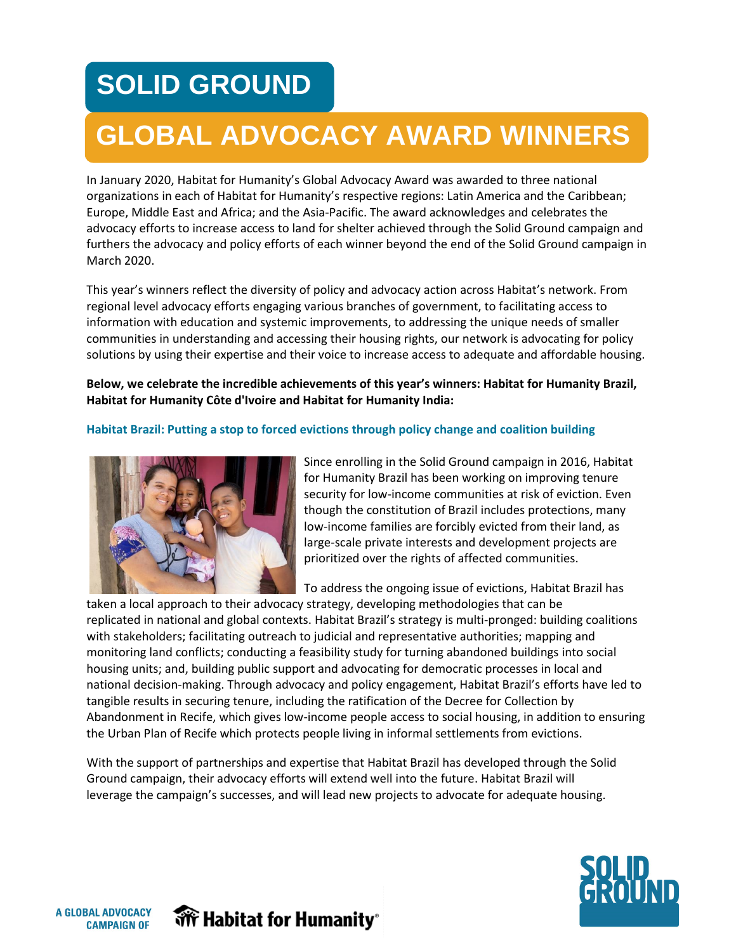# **SOLID GROUND**

## **GLOBAL ADVOCACY AWARD WINNERS**

In January 2020, Habitat for Humanity's Global Advocacy Award was awarded to three national organizations in each of Habitat for Humanity's respective regions: Latin America and the Caribbean; Europe, Middle East and Africa; and the Asia-Pacific. The award acknowledges and celebrates the advocacy efforts to increase access to land for shelter achieved through the Solid Ground campaign and furthers the advocacy and policy efforts of each winner beyond the end of the Solid Ground campaign in March 2020.

This year's winners reflect the diversity of policy and advocacy action across Habitat's network. From regional level advocacy efforts engaging various branches of government, to facilitating access to information with education and systemic improvements, to addressing the unique needs of smaller communities in understanding and accessing their housing rights, our network is advocating for policy solutions by using their expertise and their voice to increase access to adequate and affordable housing.

**Below, we celebrate the incredible achievements of this year's winners: Habitat for Humanity Brazil, Habitat for Humanity Côte d'Ivoire and Habitat for Humanity India:**

#### **Habitat Brazil: Putting a stop to forced evictions through policy change and coalition building**



Since enrolling in the Solid Ground campaign in 2016, Habitat for Humanity Brazil has been working on improving tenure security for low-income communities at risk of eviction. Even though the constitution of Brazil includes protections, many low-income families are forcibly evicted from their land, as large-scale private interests and development projects are prioritized over the rights of affected communities.

To address the ongoing issue of evictions, Habitat Brazil has

taken a local approach to their advocacy strategy, developing methodologies that can be replicated in national and global contexts. Habitat Brazil's strategy is multi-pronged: building coalitions with stakeholders; facilitating outreach to judicial and representative authorities; mapping and monitoring land conflicts; conducting a feasibility study for turning abandoned buildings into social housing units; and, building public support and advocating for democratic processes in local and national decision-making. Through advocacy and policy engagement, Habitat Brazil's efforts have led to tangible results in securing tenure, including the ratification of the Decree for Collection by Abandonment in Recife, which gives low-income people access to social housing, in addition to ensuring the Urban Plan of Recife which protects people living in informal settlements from evictions.

With the support of partnerships and expertise that Habitat Brazil has developed through the Solid Ground campaign, their advocacy efforts will extend well into the future. Habitat Brazil will leverage the campaign's successes, and will lead new projects to advocate for adequate housing.